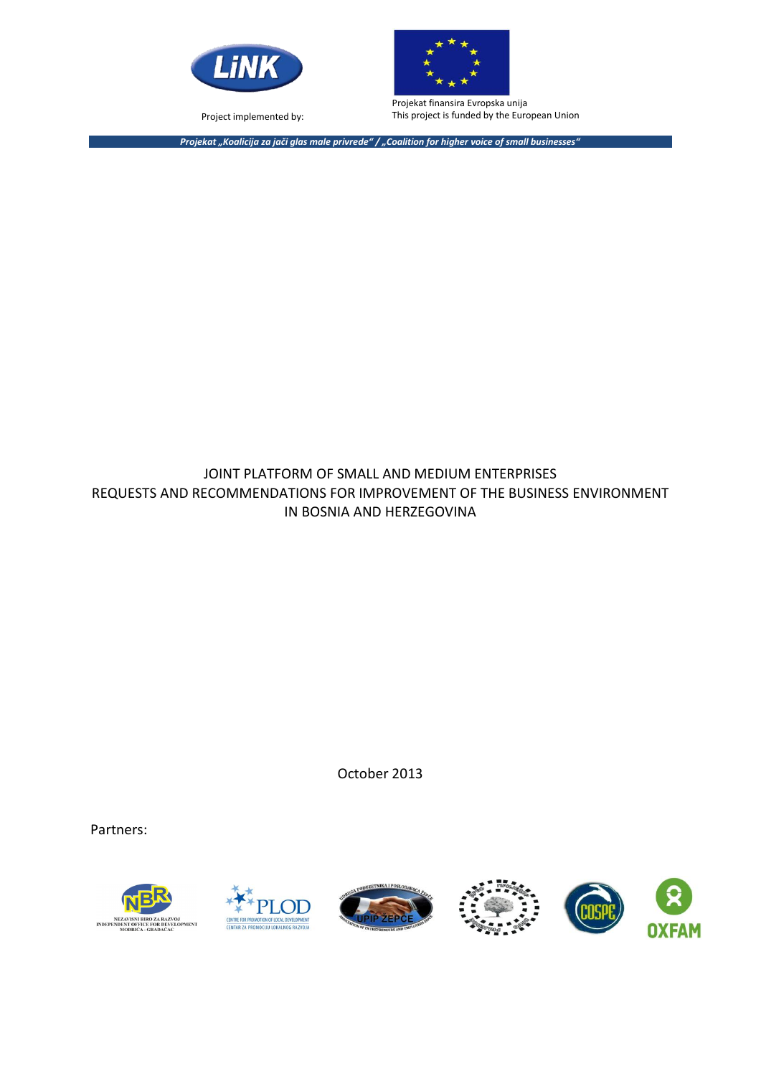

Project implemented by:



Projekat finansira Evropska unija This project is funded by the European Union

*Projekat "Koalicija za jači glas male privrede" / "Coalition for higher voice of small businesses"*

#### JOINT PLATFORM OF SMALL AND MEDIUM ENTERPRISES REQUESTS AND RECOMMENDATIONS FOR IMPROVEMENT OF THE BUSINESS ENVIRONMENT IN BOSNIA AND HERZEGOVINA

October 2013

Partners:



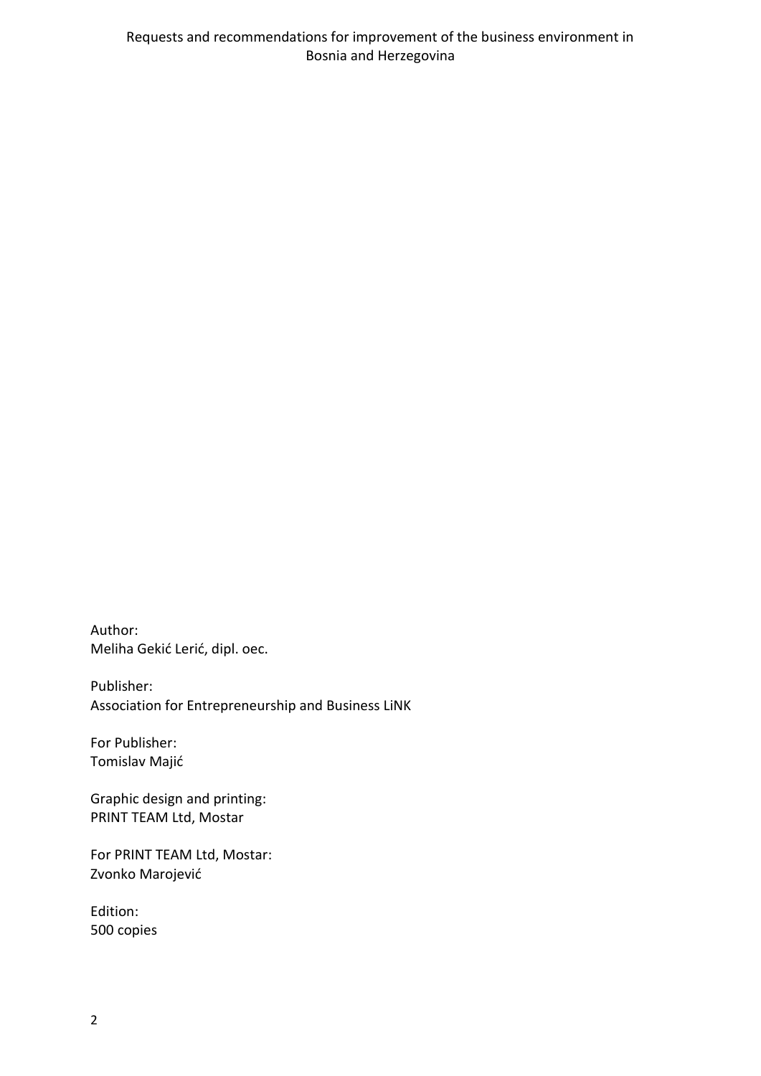Author: Meliha Gekić Lerić, dipl. oec.

Publisher: Association for Entrepreneurship and Business LiNK

For Publisher: Tomislav Majić

Graphic design and printing: PRINT TEAM Ltd, Mostar

For PRINT TEAM Ltd, Mostar: Zvonko Marojević

Edition: 500 copies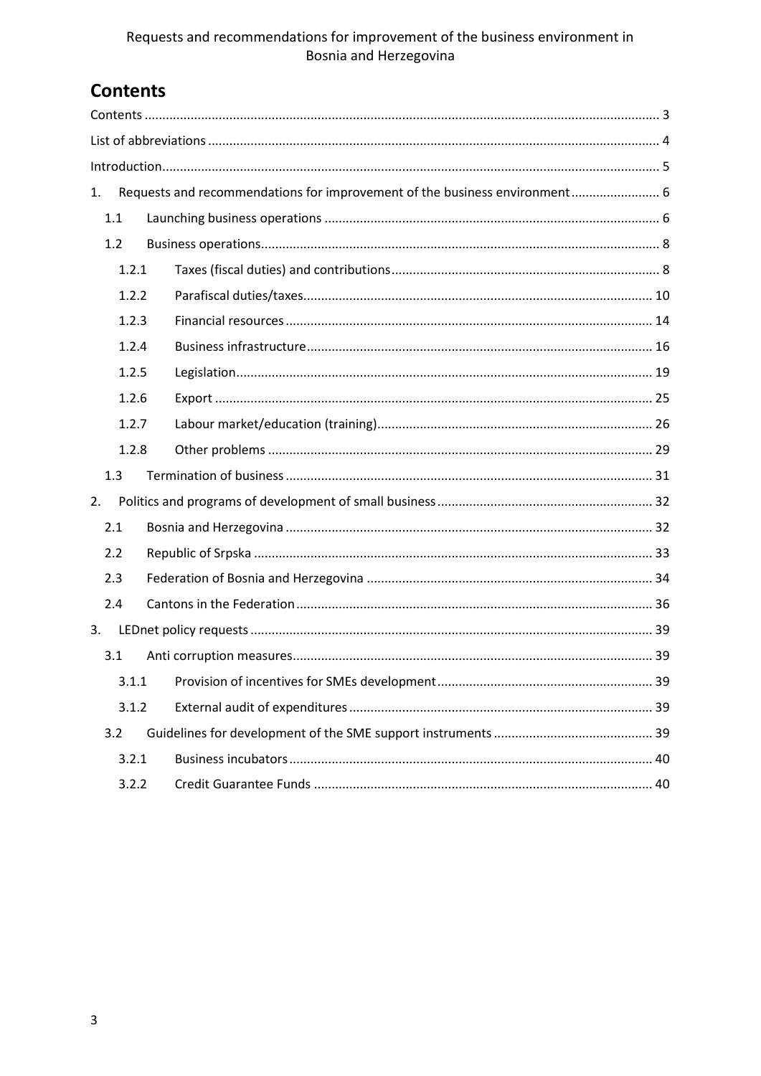### Requests and recommendations for improvement of the business environment in Bosnia and Herzegovina

## <span id="page-2-0"></span>**Contents**

| 1. |       |  | Requests and recommendations for improvement of the business environment 6 |  |  |
|----|-------|--|----------------------------------------------------------------------------|--|--|
|    | 1.1   |  |                                                                            |  |  |
|    | 1.2   |  |                                                                            |  |  |
|    | 1.2.1 |  |                                                                            |  |  |
|    | 1.2.2 |  |                                                                            |  |  |
|    | 1.2.3 |  |                                                                            |  |  |
|    | 1.2.4 |  |                                                                            |  |  |
|    | 1.2.5 |  |                                                                            |  |  |
|    | 1.2.6 |  |                                                                            |  |  |
|    | 1.2.7 |  |                                                                            |  |  |
|    | 1.2.8 |  |                                                                            |  |  |
|    | 1.3   |  |                                                                            |  |  |
| 2. |       |  |                                                                            |  |  |
|    | 2.1   |  |                                                                            |  |  |
|    | 2.2   |  |                                                                            |  |  |
|    | 2.3   |  |                                                                            |  |  |
|    | 2.4   |  |                                                                            |  |  |
| 3. |       |  |                                                                            |  |  |
|    | 3.1   |  |                                                                            |  |  |
|    |       |  |                                                                            |  |  |
|    | 3.1.2 |  |                                                                            |  |  |
|    | 3.2   |  |                                                                            |  |  |
|    | 3.2.1 |  |                                                                            |  |  |
|    | 3.2.2 |  |                                                                            |  |  |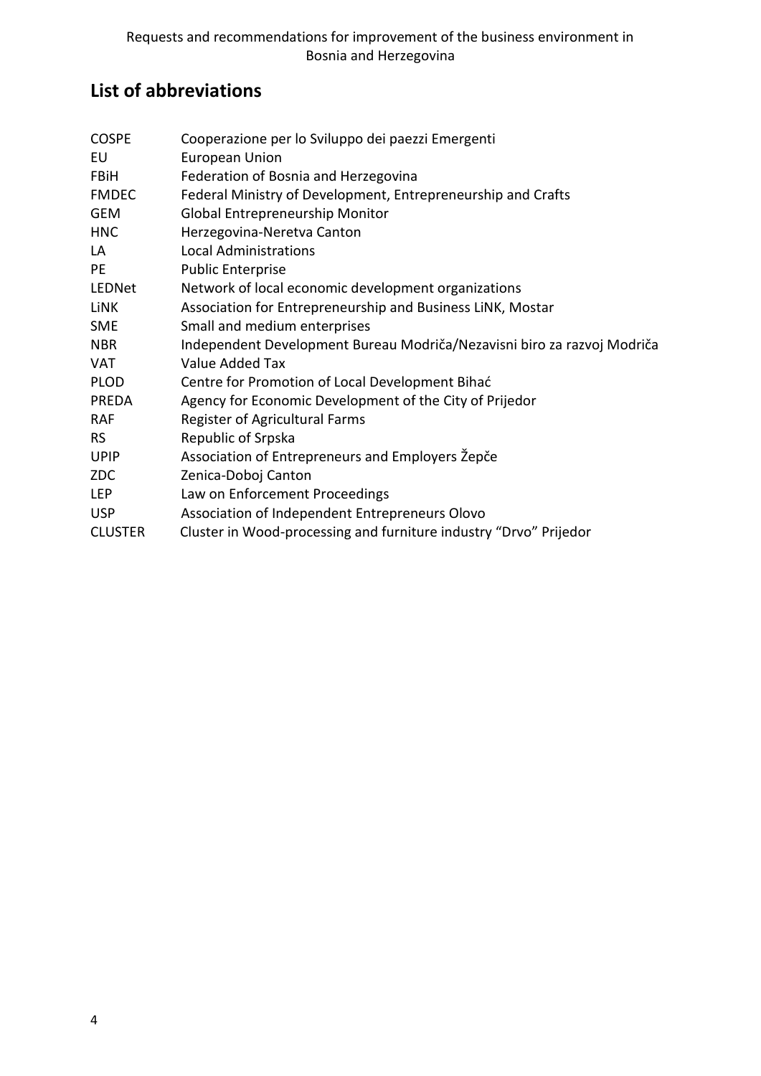# <span id="page-3-0"></span>**List of abbreviations**

| <b>COSPE</b>   | Cooperazione per lo Sviluppo dei paezzi Emergenti                       |
|----------------|-------------------------------------------------------------------------|
| EU             | <b>European Union</b>                                                   |
| <b>FBiH</b>    | Federation of Bosnia and Herzegovina                                    |
| <b>FMDEC</b>   | Federal Ministry of Development, Entrepreneurship and Crafts            |
| <b>GEM</b>     | <b>Global Entrepreneurship Monitor</b>                                  |
| <b>HNC</b>     | Herzegovina-Neretva Canton                                              |
| LA             | <b>Local Administrations</b>                                            |
| PE             | <b>Public Enterprise</b>                                                |
| LEDNet         | Network of local economic development organizations                     |
| <b>LiNK</b>    | Association for Entrepreneurship and Business LiNK, Mostar              |
| <b>SME</b>     | Small and medium enterprises                                            |
| <b>NBR</b>     | Independent Development Bureau Modriča/Nezavisni biro za razvoj Modriča |
| <b>VAT</b>     | Value Added Tax                                                         |
| <b>PLOD</b>    | Centre for Promotion of Local Development Bihać                         |
| PREDA          | Agency for Economic Development of the City of Prijedor                 |
| <b>RAF</b>     | Register of Agricultural Farms                                          |
| <b>RS</b>      | Republic of Srpska                                                      |
| <b>UPIP</b>    | Association of Entrepreneurs and Employers Žepče                        |
| <b>ZDC</b>     | Zenica-Doboj Canton                                                     |
| <b>LEP</b>     | Law on Enforcement Proceedings                                          |
| <b>USP</b>     | Association of Independent Entrepreneurs Olovo                          |
| <b>CLUSTER</b> | Cluster in Wood-processing and furniture industry "Drvo" Prijedor       |